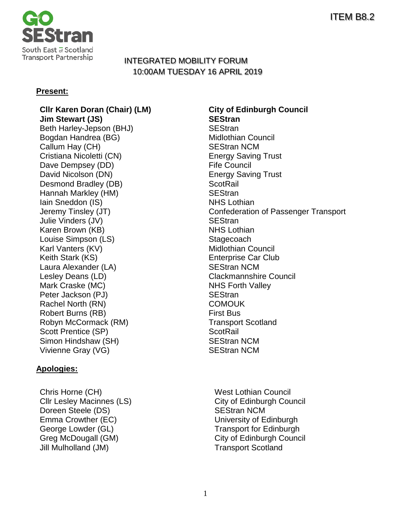

# INTEGRATED MOBILITY FORUM 10:00AM TUESDAY 16 APRIL 2019

### **Present:**

**Jim Stewart (JS)** Beth Harley-Jepson (BHJ) SEStran Bogdan Handrea (BG) Callum Hay (CH) SEStran NCM Cristiana Nicoletti (CN) Cristiana Nicoletti (CN) Dave Dempsey (DD) Fife Council David Nicolson (DN) Energy Saving Trust Desmond Bradley (DB) ScotRail Hannah Markley (HM) SEStran Iain Sneddon (IS) NHS Lothian Julie Vinders (JV) SEStran Karen Brown (KB) NHS Lothian Louise Simpson (LS) Stagecoach Karl Vanters (KV) Midlothian Council Keith Stark (KS) **Enterprise Car Club** Laura Alexander (LA) SEStran NCM Lesley Deans (LD) Clackmannshire Council Mark Craske (MC) NHS Forth Valley Peter Jackson (PJ) SEStran Rachel North (RN) COMOUK Robert Burns (RB) First Bus Robyn McCormack (RM) Transport Scotland Scott Prentice (SP) ScotRail Simon Hindshaw (SH) SEStran NCM Vivienne Gray (VG) SEStran NCM

### **Apologies:**

Chris Horne (CH) West Lothian Council Cllr Lesley Macinnes (LS) Cliv of Edinburgh Council Doreen Steele (DS) SEStran NCM Emma Crowther (EC) Emma Crowther (EC) Exercise Supersity of Edinburgh George Lowder (GL) George Lowder (GL)<br>Greg McDougall (GM) Greg McDougall (GM) Jill Mulholland (JM) Transport Scotland

**Cllr Karen Doran (Chair) (LM) City of Edinburgh Council** Jeremy Tinsley (JT) Confederation of Passenger Transport

City of Edinburgh Council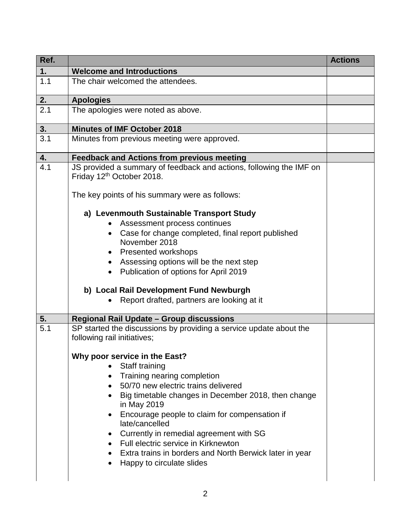| Ref. |                                                                                                   | <b>Actions</b> |
|------|---------------------------------------------------------------------------------------------------|----------------|
| 1.   | <b>Welcome and Introductions</b>                                                                  |                |
| 1.1  | The chair welcomed the attendees.                                                                 |                |
| 2.   | <b>Apologies</b>                                                                                  |                |
| 2.1  | The apologies were noted as above.                                                                |                |
| 3.   | <b>Minutes of IMF October 2018</b>                                                                |                |
| 3.1  | Minutes from previous meeting were approved.                                                      |                |
| 4.   | <b>Feedback and Actions from previous meeting</b>                                                 |                |
| 4.1  | JS provided a summary of feedback and actions, following the IMF on<br>Friday 12th October 2018.  |                |
|      | The key points of his summary were as follows:                                                    |                |
|      | a) Levenmouth Sustainable Transport Study                                                         |                |
|      | Assessment process continues                                                                      |                |
|      | Case for change completed, final report published<br>$\bullet$                                    |                |
|      | November 2018                                                                                     |                |
|      | <b>Presented workshops</b>                                                                        |                |
|      | Assessing options will be the next step                                                           |                |
|      | Publication of options for April 2019<br>$\bullet$                                                |                |
|      | b) Local Rail Development Fund Newburgh                                                           |                |
|      | Report drafted, partners are looking at it                                                        |                |
| 5.   | Regional Rail Update - Group discussions                                                          |                |
| 5.1  | SP started the discussions by providing a service update about the<br>following rail initiatives; |                |
|      | Why poor service in the East?                                                                     |                |
|      | Staff training                                                                                    |                |
|      | Training nearing completion<br>$\bullet$                                                          |                |
|      | 50/70 new electric trains delivered                                                               |                |
|      | Big timetable changes in December 2018, then change<br>in May 2019                                |                |
|      | Encourage people to claim for compensation if<br>$\bullet$                                        |                |
|      | late/cancelled<br>Currently in remedial agreement with SG                                         |                |
|      | Full electric service in Kirknewton<br>$\bullet$                                                  |                |
|      | Extra trains in borders and North Berwick later in year                                           |                |
|      | Happy to circulate slides                                                                         |                |
|      |                                                                                                   |                |
|      |                                                                                                   |                |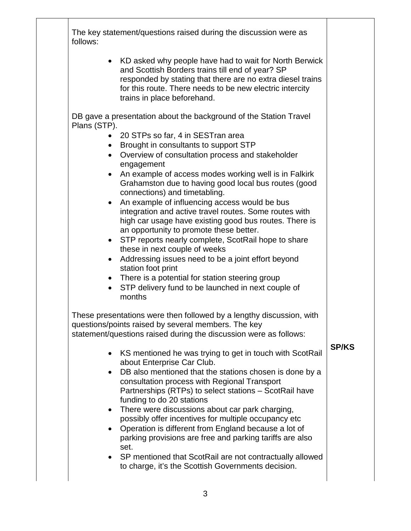The key statement/questions raised during the discussion were as follows:

> • KD asked why people have had to wait for North Berwick and Scottish Borders trains till end of year? SP responded by stating that there are no extra diesel trains for this route. There needs to be new electric intercity trains in place beforehand.

DB gave a presentation about the background of the Station Travel Plans (STP).

- 20 STPs so far, 4 in SESTran area
- Brought in consultants to support STP
- Overview of consultation process and stakeholder engagement
- An example of access modes working well is in Falkirk Grahamston due to having good local bus routes (good connections) and timetabling.
- An example of influencing access would be bus integration and active travel routes. Some routes with high car usage have existing good bus routes. There is an opportunity to promote these better.
- STP reports nearly complete, ScotRail hope to share these in next couple of weeks
- Addressing issues need to be a joint effort beyond station foot print
- There is a potential for station steering group
- STP delivery fund to be launched in next couple of months

These presentations were then followed by a lengthy discussion, with questions/points raised by several members. The key statement/questions raised during the discussion were as follows:

## **SP/KS**

- KS mentioned he was trying to get in touch with ScotRail about Enterprise Car Club.
- DB also mentioned that the stations chosen is done by a consultation process with Regional Transport Partnerships (RTPs) to select stations – ScotRail have funding to do 20 stations
- There were discussions about car park charging, possibly offer incentives for multiple occupancy etc
- Operation is different from England because a lot of parking provisions are free and parking tariffs are also set.
- SP mentioned that ScotRail are not contractually allowed to charge, it's the Scottish Governments decision.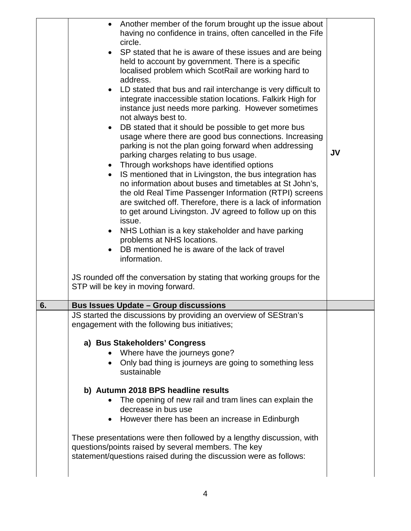|    | • Another member of the forum brought up the issue about<br>having no confidence in trains, often cancelled in the Fife<br>circle.<br>SP stated that he is aware of these issues and are being<br>held to account by government. There is a specific<br>localised problem which ScotRail are working hard to<br>address.<br>LD stated that bus and rail interchange is very difficult to<br>integrate inaccessible station locations. Falkirk High for<br>instance just needs more parking. However sometimes<br>not always best to.<br>DB stated that it should be possible to get more bus<br>$\bullet$<br>usage where there are good bus connections. Increasing<br>parking is not the plan going forward when addressing<br>parking charges relating to bus usage.<br>Through workshops have identified options<br>IS mentioned that in Livingston, the bus integration has<br>$\bullet$<br>no information about buses and timetables at St John's,<br>the old Real Time Passenger Information (RTPI) screens<br>are switched off. Therefore, there is a lack of information<br>to get around Livingston. JV agreed to follow up on this<br>issue.<br>NHS Lothian is a key stakeholder and have parking<br>problems at NHS locations.<br>DB mentioned he is aware of the lack of travel<br>information.<br>JS rounded off the conversation by stating that working groups for the<br>STP will be key in moving forward. | <b>JV</b> |
|----|-----------------------------------------------------------------------------------------------------------------------------------------------------------------------------------------------------------------------------------------------------------------------------------------------------------------------------------------------------------------------------------------------------------------------------------------------------------------------------------------------------------------------------------------------------------------------------------------------------------------------------------------------------------------------------------------------------------------------------------------------------------------------------------------------------------------------------------------------------------------------------------------------------------------------------------------------------------------------------------------------------------------------------------------------------------------------------------------------------------------------------------------------------------------------------------------------------------------------------------------------------------------------------------------------------------------------------------------------------------------------------------------------------------------------------|-----------|
| 6. | <b>Bus Issues Update - Group discussions</b>                                                                                                                                                                                                                                                                                                                                                                                                                                                                                                                                                                                                                                                                                                                                                                                                                                                                                                                                                                                                                                                                                                                                                                                                                                                                                                                                                                                |           |
|    | JS started the discussions by providing an overview of SEStran's<br>engagement with the following bus initiatives;                                                                                                                                                                                                                                                                                                                                                                                                                                                                                                                                                                                                                                                                                                                                                                                                                                                                                                                                                                                                                                                                                                                                                                                                                                                                                                          |           |
|    | a) Bus Stakeholders' Congress                                                                                                                                                                                                                                                                                                                                                                                                                                                                                                                                                                                                                                                                                                                                                                                                                                                                                                                                                                                                                                                                                                                                                                                                                                                                                                                                                                                               |           |
|    | Where have the journeys gone?                                                                                                                                                                                                                                                                                                                                                                                                                                                                                                                                                                                                                                                                                                                                                                                                                                                                                                                                                                                                                                                                                                                                                                                                                                                                                                                                                                                               |           |
|    | Only bad thing is journeys are going to something less<br>sustainable                                                                                                                                                                                                                                                                                                                                                                                                                                                                                                                                                                                                                                                                                                                                                                                                                                                                                                                                                                                                                                                                                                                                                                                                                                                                                                                                                       |           |
|    | b) Autumn 2018 BPS headline results                                                                                                                                                                                                                                                                                                                                                                                                                                                                                                                                                                                                                                                                                                                                                                                                                                                                                                                                                                                                                                                                                                                                                                                                                                                                                                                                                                                         |           |
|    | The opening of new rail and tram lines can explain the                                                                                                                                                                                                                                                                                                                                                                                                                                                                                                                                                                                                                                                                                                                                                                                                                                                                                                                                                                                                                                                                                                                                                                                                                                                                                                                                                                      |           |
|    | decrease in bus use<br>However there has been an increase in Edinburgh                                                                                                                                                                                                                                                                                                                                                                                                                                                                                                                                                                                                                                                                                                                                                                                                                                                                                                                                                                                                                                                                                                                                                                                                                                                                                                                                                      |           |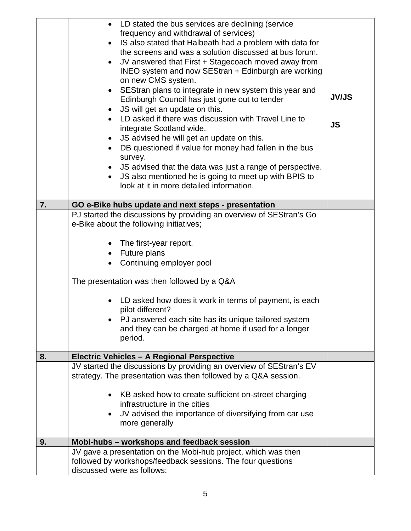| 7. | • LD stated the bus services are declining (service<br>frequency and withdrawal of services)<br>IS also stated that Halbeath had a problem with data for<br>$\bullet$<br>the screens and was a solution discussed at bus forum.<br>JV answered that First + Stagecoach moved away from<br>$\bullet$<br>INEO system and now SEStran + Edinburgh are working<br>on new CMS system.<br>SEStran plans to integrate in new system this year and<br>Edinburgh Council has just gone out to tender<br>JS will get an update on this.<br>$\bullet$<br>LD asked if there was discussion with Travel Line to<br>integrate Scotland wide.<br>JS advised he will get an update on this.<br>$\bullet$<br>DB questioned if value for money had fallen in the bus<br>$\bullet$<br>survey.<br>JS advised that the data was just a range of perspective.<br>JS also mentioned he is going to meet up with BPIS to<br>look at it in more detailed information.<br>GO e-Bike hubs update and next steps - presentation | <b>JV/JS</b><br><b>JS</b> |
|----|-----------------------------------------------------------------------------------------------------------------------------------------------------------------------------------------------------------------------------------------------------------------------------------------------------------------------------------------------------------------------------------------------------------------------------------------------------------------------------------------------------------------------------------------------------------------------------------------------------------------------------------------------------------------------------------------------------------------------------------------------------------------------------------------------------------------------------------------------------------------------------------------------------------------------------------------------------------------------------------------------------|---------------------------|
|    | PJ started the discussions by providing an overview of SEStran's Go                                                                                                                                                                                                                                                                                                                                                                                                                                                                                                                                                                                                                                                                                                                                                                                                                                                                                                                                 |                           |
|    | e-Bike about the following initiatives;                                                                                                                                                                                                                                                                                                                                                                                                                                                                                                                                                                                                                                                                                                                                                                                                                                                                                                                                                             |                           |
|    | The first-year report.                                                                                                                                                                                                                                                                                                                                                                                                                                                                                                                                                                                                                                                                                                                                                                                                                                                                                                                                                                              |                           |
|    | Future plans<br>$\bullet$                                                                                                                                                                                                                                                                                                                                                                                                                                                                                                                                                                                                                                                                                                                                                                                                                                                                                                                                                                           |                           |
|    | Continuing employer pool                                                                                                                                                                                                                                                                                                                                                                                                                                                                                                                                                                                                                                                                                                                                                                                                                                                                                                                                                                            |                           |
|    | The presentation was then followed by a Q&A                                                                                                                                                                                                                                                                                                                                                                                                                                                                                                                                                                                                                                                                                                                                                                                                                                                                                                                                                         |                           |
|    | LD asked how does it work in terms of payment, is each<br>$\bullet$<br>pilot different?                                                                                                                                                                                                                                                                                                                                                                                                                                                                                                                                                                                                                                                                                                                                                                                                                                                                                                             |                           |
|    | PJ answered each site has its unique tailored system                                                                                                                                                                                                                                                                                                                                                                                                                                                                                                                                                                                                                                                                                                                                                                                                                                                                                                                                                |                           |
|    | and they can be charged at home if used for a longer<br>period.                                                                                                                                                                                                                                                                                                                                                                                                                                                                                                                                                                                                                                                                                                                                                                                                                                                                                                                                     |                           |
| 8. | Electric Vehicles - A Regional Perspective                                                                                                                                                                                                                                                                                                                                                                                                                                                                                                                                                                                                                                                                                                                                                                                                                                                                                                                                                          |                           |
|    | JV started the discussions by providing an overview of SEStran's EV<br>strategy. The presentation was then followed by a Q&A session.                                                                                                                                                                                                                                                                                                                                                                                                                                                                                                                                                                                                                                                                                                                                                                                                                                                               |                           |
|    | KB asked how to create sufficient on-street charging<br>$\bullet$                                                                                                                                                                                                                                                                                                                                                                                                                                                                                                                                                                                                                                                                                                                                                                                                                                                                                                                                   |                           |
|    | infrastructure in the cities<br>JV advised the importance of diversifying from car use<br>$\bullet$                                                                                                                                                                                                                                                                                                                                                                                                                                                                                                                                                                                                                                                                                                                                                                                                                                                                                                 |                           |
|    | more generally                                                                                                                                                                                                                                                                                                                                                                                                                                                                                                                                                                                                                                                                                                                                                                                                                                                                                                                                                                                      |                           |
| 9. | Mobi-hubs - workshops and feedback session                                                                                                                                                                                                                                                                                                                                                                                                                                                                                                                                                                                                                                                                                                                                                                                                                                                                                                                                                          |                           |
|    | JV gave a presentation on the Mobi-hub project, which was then<br>followed by workshops/feedback sessions. The four questions<br>discussed were as follows:                                                                                                                                                                                                                                                                                                                                                                                                                                                                                                                                                                                                                                                                                                                                                                                                                                         |                           |